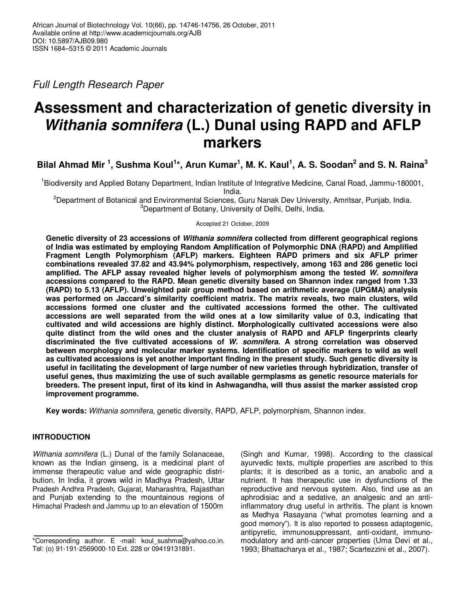Full Length Research Paper

# **Assessment and characterization of genetic diversity in Withania somnifera (L.) Dunal using RAPD and AFLP markers**

**Bilal Ahmad Mir <sup>1</sup> , Sushma Koul<sup>1</sup> \*, Arun Kumar<sup>1</sup> , M. K. Kaul<sup>1</sup> , A. S. Soodan<sup>2</sup> and S. N. Raina<sup>3</sup>**

<sup>1</sup>Biodiversity and Applied Botany Department, Indian Institute of Integrative Medicine, Canal Road, Jammu-180001, India.

<sup>2</sup>Department of Botanical and Environmental Sciences, Guru Nanak Dev University, Amritsar, Punjab, India. <sup>3</sup>Department of Botany, University of Delhi, Delhi, India.

Accepted 21 October, 2009

**Genetic diversity of 23 accessions of Withania somnifera collected from different geographical regions of India was estimated by employing Random Amplification of Polymorphic DNA (RAPD) and Amplified Fragment Length Polymorphism (AFLP) markers. Eighteen RAPD primers and six AFLP primer combinations revealed 37.82 and 43.94% polymorphism, respectively, among 163 and 286 genetic loci amplified. The AFLP assay revealed higher levels of polymorphism among the tested W. somnifera accessions compared to the RAPD. Mean genetic diversity based on Shannon index ranged from 1.33 (RAPD) to 5.13 (AFLP). Unweighted pair group method based on arithmetic average (UPGMA) analysis was performed on Jaccard's similarity coefficient matrix. The matrix reveals, two main clusters, wild accessions formed one cluster and the cultivated accessions formed the other. The cultivated accessions are well separated from the wild ones at a low similarity value of 0.3, indicating that cultivated and wild accessions are highly distinct. Morphologically cultivated accessions were also quite distinct from the wild ones and the cluster analysis of RAPD and AFLP fingerprints clearly discriminated the five cultivated accessions of W. somnifera. A strong correlation was observed between morphology and molecular marker systems. Identification of specific markers to wild as well as cultivated accessions is yet another important finding in the present study. Such genetic diversity is useful in facilitating the development of large number of new varieties through hybridization, transfer of useful genes, thus maximizing the use of such available germplasms as genetic resource materials for breeders. The present input, first of its kind in Ashwagandha, will thus assist the marker assisted crop improvement programme.** 

**Key words:** Withania somnifera, genetic diversity, RAPD, AFLP, polymorphism, Shannon index.

# **INTRODUCTION**

Withania somnifera (L.) Dunal of the family Solanaceae, known as the Indian ginseng, is a medicinal plant of immense therapeutic value and wide geographic distribution. In India, it grows wild in Madhya Pradesh, Uttar Pradesh Andhra Pradesh, Gujarat, Maharashtra, Rajasthan and Punjab extending to the mountainous regions of Himachal Pradesh and Jammu up to an elevation of 1500m

(Singh and Kumar, 1998). According to the classical ayurvedic texts, multiple properties are ascribed to this plants; it is described as a tonic, an anabolic and a nutrient. It has therapeutic use in dysfunctions of the reproductive and nervous system. Also, find use as an aphrodisiac and a sedative, an analgesic and an antiinflammatory drug useful in arthritis. The plant is known as Medhya Rasayana ("what promotes learning and a good memory"). It is also reported to possess adaptogenic, antipyretic, immunosuppressant, anti-oxidant, immunomodulatory and anti-cancer properties (Uma Devi et al., 1993; Bhattacharya et al., 1987; Scartezzini et al., 2007).

<sup>\*</sup>Corresponding author. E -mail: koul\_sushma@yahoo.co.in. Tel: (o) 91-191-2569000-10 Ext. 228 or 09419131891.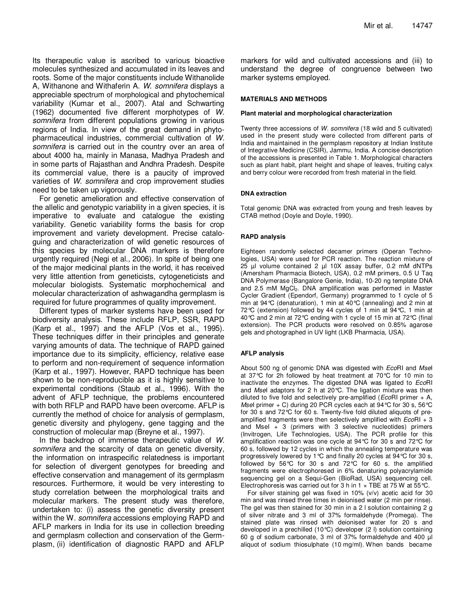Its therapeutic value is ascribed to various bioactive molecules synthesized and accumulated in its leaves and roots. Some of the major constituents include Withanolide A, Withanone and Withaferin A. W. somnifera displays a appreciable spectrum of morphological and phytochemical variability (Kumar et al., 2007). Atal and Schwarting (1962) documented five different morphotypes of W. somnifera from different populations growing in various regions of India. In view of the great demand in phytopharmaceutical industries, commercial cultivation of W. somnifera is carried out in the country over an area of about 4000 ha, mainly in Manasa, Madhya Pradesh and in some parts of Rajasthan and Andhra Pradesh. Despite its commercial value, there is a paucity of improved varieties of W. somnifera and crop improvement studies need to be taken up vigorously.

For genetic amelioration and effective conservation of the allelic and genotypic variability in a given species, it is imperative to evaluate and catalogue the existing variability. Genetic variability forms the basis for crop improvement and variety development. Precise cataloguing and characterization of wild genetic resources of this species by molecular DNA markers is therefore urgently required (Negi et al., 2006). In spite of being one of the major medicinal plants in the world, it has received very little attention from geneticists, cytogeneticists and molecular biologists. Systematic morphochemical and molecular characterization of ashwagandha germplasm is required for future programmes of quality improvement.

Different types of marker systems have been used for biodiversity analysis. These include RFLP, SSR, RAPD (Karp et al., 1997) and the AFLP (Vos et al., 1995). These techniques differ in their principles and generate varying amounts of data. The technique of RAPD gained importance due to its simplicity, efficiency, relative ease to perform and non-requirement of sequence information (Karp et al., 1997). However, RAPD technique has been shown to be non-reproducible as it is highly sensitive to experimental conditions (Staub et al., 1996). With the advent of AFLP technique, the problems encountered with both RFLP and RAPD have been overcome. AFLP is currently the method of choice for analysis of germplasm, genetic diversity and phylogeny, gene tagging and the construction of molecular map (Breyne et al., 1997).

In the backdrop of immense therapeutic value of W. somnifera and the scarcity of data on genetic diversity, the information on intraspecific relatedness is important for selection of divergent genotypes for breeding and effective conservation and management of its germplasm resources. Furthermore, it would be very interesting to study correlation between the morphological traits and molecular markers. The present study was therefore, undertaken to: (i) assess the genetic diversity present within the W. somnifera accessions employing RAPD and AFLP markers in India for its use in collection breeding and germplasm collection and conservation of the Germplasm, (ii) identification of diagnostic RAPD and AFLP

markers for wild and cultivated accessions and (iii) to understand the degree of congruence between two marker systems employed.

## **MATERIALS AND METHODS**

#### **Plant material and morphological characterization**

Twenty three accessions of W. somnifera (18 wild and 5 cultivated) used in the present study were collected from different parts of India and maintained in the germplasm repository at Indian Institute of Integrative Medicine (CSIR), Jammu, India. A concise description of the accessions is presented in Table 1. Morphological characters such as plant habit, plant height and shape of leaves, fruiting calyx and berry colour were recorded from fresh material in the field.

## **DNA extraction**

Total genomic DNA was extracted from young and fresh leaves by CTAB method (Doyle and Doyle, 1990).

## **RAPD analysis**

Eighteen randomly selected decamer primers (Operan Technologies, USA) were used for PCR reaction. The reaction mixture of 25 µl volume contained 2 µl 10X assay buffer, 0.2 mM dNTPs (Amersham Pharmacia Biotech, USA), 0.2 mM primers, 0.5 U Taq DNA Polymerase (Bangalore Genie, India), 10-20 ng template DNA and 2.5 mM MgCl<sub>2</sub>. DNA amplification was performed in Master Cycler Gradient (Ependorf, Germany) programmed to 1 cycle of 5 min at 94°C (denaturation), 1 min at 40°C (annealing) and 2 min at 72°C (extension) followed by 44 cycles of 1 min at 94°C, 1 min at 40°C and 2 min at 72°C ending with 1 cycle of 15 min at 72°C (final extension). The PCR products were resolved on 0.85% agarose gels and photographed in UV light (LKB Pharmacia, USA).

## **AFLP analysis**

About 500 ng of genomic DNA was digested with EcoRI and Msel at 37°C for 2h followed by heat treatment at 70°C for 10 min to inactivate the enzymes. The digested DNA was ligated to EcoRI and Msel adaptors for 2 h at  $20^{\circ}$ C. The ligation mixture was then diluted to five fold and selectively pre-amplified ( $EcoRI$  primer  $+$  A, Msel primer + C) during 20 PCR cycles each at 94 °C for 30 s, 56 °C for 30 s and 72°C for 60 s. Twenty-five fold diluted aliquots of preamplified fragments were then selectively amplified with  $EcoRI + 3$ and MseI + 3 (primers with 3 selective nucleotides) primers (Invitrogen, Life Technologies, USA). The PCR profile for this amplification reaction was one cycle at 94°C for 30 s and 72°C for 60 s, followed by 12 cycles in which the annealing temperature was progressively lowered by 1°C and finally 20 cycles at 94°C for 30 s, followed by 56°C for 30 s and 72°C for 60 s. the amplified fragments were electrophoresed in 6% denaturing polyacrylamide sequencing gel on a Sequi-Gen (BioRad, USA) sequencing cell. Electrophoresis was carried out for 3 h in 1  $\times$  TBE at 75 W at 55 °C.

For silver staining gel was fixed in 10% (v/v) acetic acid for 30 min and was rinsed three times in deionised water (2 min per rinse). The gel was then stained for 30 min in a 2 l solution containing 2 g of silver nitrate and 3 ml of 37% formaldehyde (Promega). The stained plate was rinsed with deionised water for 20 s and developed in a prechilled (10°C) developer (2 l) solution containing 60 g of sodium carbonate, 3 ml of 37% formaldehyde and 400 µl aliquot of sodium thiosulphate (10 mg/ml). When bands became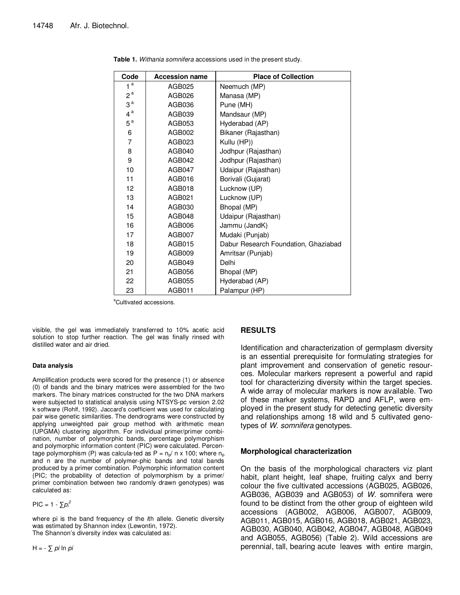| Code             | <b>Accession name</b> | <b>Place of Collection</b>           |  |
|------------------|-----------------------|--------------------------------------|--|
| 1 <sup>a</sup>   | AGB025                | Neemuch (MP)                         |  |
| 2 <sup>a</sup>   | AGB026                | Manasa (MP)                          |  |
| 3 <sup>a</sup>   | AGB036                | Pune (MH)                            |  |
| $4^{\mathrm{a}}$ | AGB039                | Mandsaur (MP)                        |  |
| $5^{\mathrm{a}}$ | AGB053                | Hyderabad (AP)                       |  |
| 6                | AGB002                | Bikaner (Rajasthan)                  |  |
| 7                | AGB023                | Kullu (HP))                          |  |
| 8                | AGB040                | Jodhpur (Rajasthan)                  |  |
| 9                | AGB042                | Jodhpur (Rajasthan)                  |  |
| 10               | AGB047                | Udaipur (Rajasthan)                  |  |
| 11               | AGB016                | Borivali (Gujarat)                   |  |
| 12               | AGB018                | Lucknow (UP)                         |  |
| 13               | AGB021                | Lucknow (UP)                         |  |
| 14               | AGB030                | Bhopal (MP)                          |  |
| 15               | AGB048                | Udaipur (Rajasthan)                  |  |
| 16               | AGB006                | Jammu (JandK)                        |  |
| 17               | AGB007                | Mudaki (Punjab)                      |  |
| 18               | AGB015                | Dabur Research Foundation, Ghaziabad |  |
| 19               | AGB009                | Amritsar (Punjab)                    |  |
| 20               | AGB049                | Delhi                                |  |
| 21               | AGB056                | Bhopal (MP)                          |  |
| 22               | AGB055                | Hyderabad (AP)                       |  |
| 23               | AGB011                | Palampur (HP)                        |  |

**Table 1.** Withania somnifera accessions used in the present study.

<sup>a</sup>Cultivated accessions.

visible, the gel was immediately transferred to 10% acetic acid solution to stop further reaction. The gel was finally rinsed with distilled water and air dried.

## **Data analysis**

Amplification products were scored for the presence (1) or absence (0) of bands and the binary matrices were assembled for the two markers. The binary matrices constructed for the two DNA markers were subjected to statistical analysis using NTSYS-pc version 2.02 k software (Rohlf, 1992). Jaccard's coefficient was used for calculating pair wise genetic similarities. The dendrograms were constructed by applying unweighted pair group method with arithmetic mean (UPGMA) clustering algorithm. For individual primer/primer combination, number of polymorphic bands, percentage polymorphism and polymorphic information content (PIC) were calculated. Percentage polymorphism (P) was calcula-ted as  $P = n_p/n \times 100$ ; where  $n_p$ and n are the number of polymer-phic bands and total bands produced by a primer combination. Polymorphic information content (PIC; the probability of detection of polymorphism by a primer/ primer combination between two randomly drawn genotypes) was calculated as:

 $\text{PIC} = 1 - \sum p_i^2$ 

where pi is the band frequency of the *i*th allele. Genetic diversity was estimated by Shannon index (Lewontin, 1972). The Shannon's diversity index was calculated as:

H =  $\sum$  *pi* ln *pi* 

## **RESULTS**

Identification and characterization of germplasm diversity is an essential prerequisite for formulating strategies for plant improvement and conservation of genetic resources. Molecular markers represent a powerful and rapid tool for characterizing diversity within the target species. A wide array of molecular markers is now available. Two of these marker systems, RAPD and AFLP, were employed in the present study for detecting genetic diversity and relationships among 18 wild and 5 cultivated genotypes of W. somnifera genotypes.

## **Morphological characterization**

On the basis of the morphological characters viz plant habit, plant height, leaf shape, fruiting calyx and berry colour the five cultivated accessions (AGB025, AGB026, AGB036, AGB039 and AGB053) of W. somnifera were found to be distinct from the other group of eighteen wild accessions (AGB002, AGB006, AGB007, AGB009, AGB011, AGB015, AGB016, AGB018, AGB021, AGB023, AGB030, AGB040, AGB042, AGB047, AGB048, AGB049 and AGB055, AGB056) (Table 2). Wild accessions are perennial, tall, bearing acute leaves with entire margin,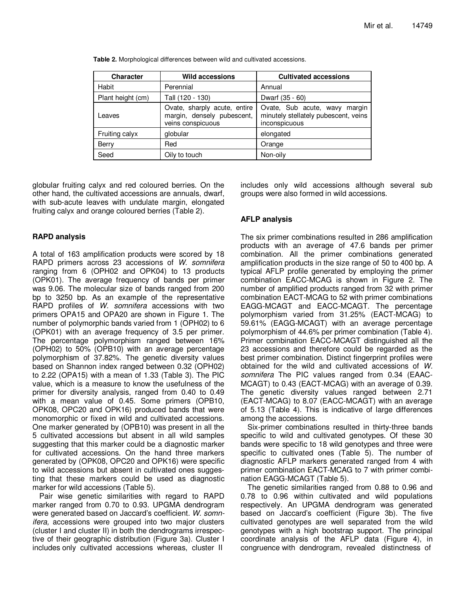| <b>Character</b>  | <b>Wild accessions</b>                                                          | <b>Cultivated accessions</b>                                                              |
|-------------------|---------------------------------------------------------------------------------|-------------------------------------------------------------------------------------------|
| Habit             | Perennial                                                                       | Annual                                                                                    |
| Plant height (cm) | Tall (120 - 130)                                                                | Dwarf (35 - 60)                                                                           |
| Leaves            | Ovate, sharply acute, entire<br>margin, densely pubescent,<br>veins conspicuous | Ovate, Sub acute, wavy<br>margin<br>minutely stellately pubescent, veins<br>inconspicuous |
| Fruiting calyx    | globular                                                                        | elongated                                                                                 |
| Berry             | Red                                                                             | Orange                                                                                    |
| Seed              | Oily to touch                                                                   | Non-oily                                                                                  |

**Table 2.** Morphological differences between wild and cultivated accessions.

globular fruiting calyx and red coloured berries. On the other hand, the cultivated accessions are annuals, dwarf, with sub-acute leaves with undulate margin, elongated fruiting calyx and orange coloured berries (Table 2).

# **RAPD analysis**

A total of 163 amplification products were scored by 18 RAPD primers across 23 accessions of W. somnifera ranging from 6 (OPH02 and OPK04) to 13 products (OPK01). The average frequency of bands per primer was 9.06. The molecular size of bands ranged from 200 bp to 3250 bp. As an example of the representative RAPD profiles of W. somnifera accessions with two primers OPA15 and OPA20 are shown in Figure 1. The number of polymorphic bands varied from 1 (OPH02) to 6 (OPK01) with an average frequency of 3.5 per primer. The percentage polymorphism ranged between 16% (OPH02) to 50% (OPB10) with an average percentage polymorphism of 37.82%. The genetic diversity values based on Shannon index ranged between 0.32 (OPH02) to 2.22 (OPA15) with a mean of 1.33 (Table 3). The PIC value, which is a measure to know the usefulness of the primer for diversity analysis, ranged from 0.40 to 0.49 with a mean value of 0.45. Some primers (OPB10, OPK08, OPC20 and OPK16) produced bands that were monomorphic or fixed in wild and cultivated accessions. One marker generated by (OPB10) was present in all the 5 cultivated accessions but absent in all wild samples suggesting that this marker could be a diagnostic marker for cultivated accessions. On the hand three markers generated by (OPK08, OPC20 and OPK16) were specific to wild accessions but absent in cultivated ones suggesting that these markers could be used as diagnostic marker for wild accessions (Table 5).

Pair wise genetic similarities with regard to RAPD marker ranged from 0.70 to 0.93. UPGMA dendrogram were generated based on Jaccard's coefficient. W. somnifera, accessions were grouped into two major clusters (cluster I and cluster II) in both the dendrograms irrespective of their geographic distribution (Figure 3a). Cluster I includes only cultivated accessions whereas, cluster II

includes only wild accessions although several sub groups were also formed in wild accessions.

# **AFLP analysis**

The six primer combinations resulted in 286 amplification products with an average of 47.6 bands per primer combination. All the primer combinations generated amplification products in the size range of 50 to 400 bp. A typical AFLP profile generated by employing the primer combination EACC-MCAG is shown in Figure 2. The number of amplified products ranged from 32 with primer combination EACT-MCAG to 52 with primer combinations EAGG-MCAGT and EACC-MCAGT. The percentage polymorphism varied from 31.25% (EACT-MCAG) to 59.61% (EAGG-MCAGT) with an average percentage polymorphism of 44.6% per primer combination (Table 4). Primer combination EACC-MCAGT distinguished all the 23 accessions and therefore could be regarded as the best primer combination. Distinct fingerprint profiles were obtained for the wild and cultivated accessions of W. somnifera The PIC values ranged from 0.34 (EAAC-MCAGT) to 0.43 (EACT-MCAG) with an average of 0.39. The genetic diversity values ranged between 2.71 (EACT-MCAG) to 8.07 (EACC-MCAGT) with an average of 5.13 (Table 4). This is indicative of large differences among the accessions.

Six-primer combinations resulted in thirty-three bands specific to wild and cultivated genotypes. Of these 30 bands were specific to 18 wild genotypes and three were specific to cultivated ones (Table 5). The number of diagnostic AFLP markers generated ranged from 4 with primer combination EACT-MCAG to 7 with primer combination EAGG-MCAGT (Table 5).

The genetic similarities ranged from 0.88 to 0.96 and 0.78 to 0.96 within cultivated and wild populations respectively. An UPGMA dendrogram was generated based on Jaccard's coefficient (Figure 3b). The five cultivated genotypes are well separated from the wild genotypes with a high bootstrap support. The principal coordinate analysis of the AFLP data (Figure 4), in congruence with dendrogram, revealed distinctness of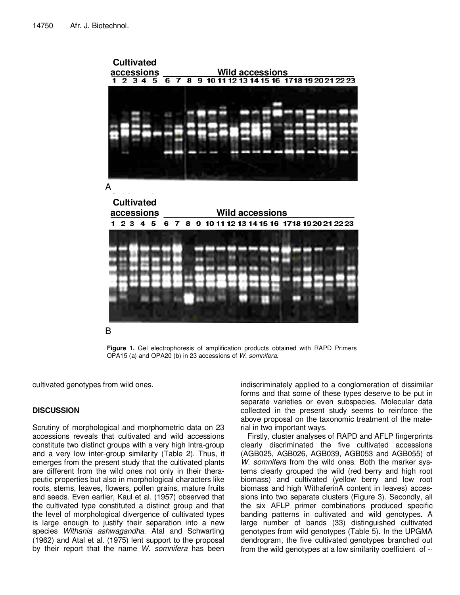

**Figure 1.** Gel electrophoresis of amplification products obtained with RAPD Primers OPA15 (a) and OPA20 (b) in 23 accessions of W. somnifera.

cultivated genotypes from wild ones.

# **DISCUSSION**

Scrutiny of morphological and morphometric data on 23 accessions reveals that cultivated and wild accessions constitute two distinct groups with a very high intra-group and a very low inter-group similarity (Table 2). Thus, it emerges from the present study that the cultivated plants are different from the wild ones not only in their therapeutic properties but also in morphological characters like roots, stems, leaves, flowers, pollen grains, mature fruits and seeds. Even earlier, Kaul et al. (1957) observed that the cultivated type constituted a distinct group and that the level of morphological divergence of cultivated types is large enough to justify their separation into a new species Withania ashwagandha. Atal and Schwarting (1962) and Atal et al. (1975) lent support to the proposal by their report that the name W. somnifera has been indiscriminately applied to a conglomeration of dissimilar forms and that some of these types deserve to be put in separate varieties or even subspecies. Molecular data collected in the present study seems to reinforce the above proposal on the taxonomic treatment of the material in two important ways.

Firstly, cluster analyses of RAPD and AFLP fingerprints clearly discriminated the five cultivated accessions (AGB025, AGB026, AGB039, AGB053 and AGB055) of W. somnifera from the wild ones. Both the marker systems clearly grouped the wild (red berry and high root biomass) and cultivated (yellow berry and low root biomass and high WithaferinA content in leaves) accessions into two separate clusters (Figure 3). Secondly, all the six AFLP primer combinations produced specific banding patterns in cultivated and wild genotypes. A large number of bands (33) distinguished cultivated genotypes from wild genotypes (Table 5). In the UPGMA dendrogram, the five cultivated genotypes branched out from the wild genotypes at a low similarity coefficient of ∼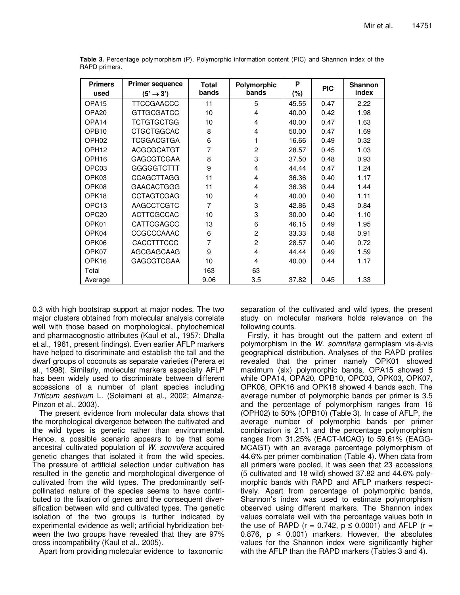| <b>Primers</b><br>used | <b>Primer sequence</b><br>$(5' \rightarrow 3')$ | <b>Total</b><br>bands | Polymorphic<br>bands | P<br>$(\%)$ | <b>PIC</b> | <b>Shannon</b><br>index |
|------------------------|-------------------------------------------------|-----------------------|----------------------|-------------|------------|-------------------------|
| OPA <sub>15</sub>      | <b>TTCCGAACCC</b>                               | 11                    | 5                    | 45.55       | 0.47       | 2.22                    |
| OPA <sub>20</sub>      | <b>GTTGCGATCC</b>                               | 10                    | 4                    | 40.00       | 0.42       | 1.98                    |
| OPA14                  | <b>TCTGTGCTGG</b>                               | 10                    | 4                    | 40.00       | 0.47       | 1.63                    |
| OPB <sub>10</sub>      | <b>CTGCTGGCAC</b>                               | 8                     | 4                    | 50.00       | 0.47       | 1.69                    |
| OPH <sub>02</sub>      | TCGGACGTGA                                      | 6                     |                      | 16.66       | 0.49       | 0.32                    |
| OPH <sub>12</sub>      | <b>ACGCGCATGT</b>                               | 7                     | 2                    | 28.57       | 0.45       | 1.03                    |
| OPH <sub>16</sub>      | <b>GAGCGTCGAA</b>                               | 8                     | 3                    | 37.50       | 0.48       | 0.93                    |
| OPC <sub>03</sub>      | GGGGGTCTTT                                      | 9                     | 4                    | 44.44       | 0.47       | 1.24                    |
| OPK03                  | <b>CCAGCTTAGG</b>                               | 11                    | 4                    | 36.36       | 0.40       | 1.17                    |
| OPK08                  | <b>GAACACTGGG</b>                               | 11                    | 4                    | 36.36       | 0.44       | 1.44                    |
| OPK18                  | <b>CCTAGTCGAG</b>                               | 10                    | 4                    | 40.00       | 0.40       | 1.11                    |
| OPC <sub>13</sub>      | AAGCCTCGTC                                      | $\overline{7}$        | 3                    | 42.86       | 0.43       | 0.84                    |
| OPC <sub>20</sub>      | <b>ACTTCGCCAC</b>                               | 10                    | 3                    | 30.00       | 0.40       | 1.10                    |
| OPK01                  | CATTCGAGCC                                      | 13                    | 6                    | 46.15       | 0.49       | 1.95                    |
| OPK04                  | CCGCCCAAAC                                      | 6                     | $\overline{2}$       | 33.33       | 0.48       | 0.91                    |
| OPK06                  | CACCTTTCCC                                      | 7                     | $\overline{2}$       | 28.57       | 0.40       | 0.72                    |
| OPK07                  | AGCGAGCAAG                                      | 9                     | 4                    | 44.44       | 0.49       | 1.59                    |
| OPK16                  | <b>GAGCGTCGAA</b>                               | 10                    | 4                    | 40.00       | 0.44       | 1.17                    |
| Total                  |                                                 | 163                   | 63                   |             |            |                         |
| Average                |                                                 | 9.06                  | 3.5                  | 37.82       | 0.45       | 1.33                    |

**Table 3.** Percentage polymorphism (P), Polymorphic information content (PIC) and Shannon index of the RAPD primers.

0.3 with high bootstrap support at major nodes. The two major clusters obtained from molecular analysis correlate well with those based on morphological, phytochemical and pharmacognostic attributes (Kaul et al., 1957; Dhalla et al., 1961, present findings). Even earlier AFLP markers have helped to discriminate and establish the tall and the dwarf groups of coconuts as separate varieties (Perera et al., 1998). Similarly, molecular markers especially AFLP has been widely used to discriminate between different accessions of a number of plant species including Triticum aestivum L. (Soleimani et al., 2002; Almanza-Pinzon et al., 2003).

The present evidence from molecular data shows that the morphological divergence between the cultivated and the wild types is genetic rather than environmental. Hence, a possible scenario appears to be that some ancestral cultivated population of W. somnifera acquired genetic changes that isolated it from the wild species. The pressure of artificial selection under cultivation has resulted in the genetic and morphological divergence of cultivated from the wild types. The predominantly selfpollinated nature of the species seems to have contributed to the fixation of genes and the consequent diversification between wild and cultivated types. The genetic isolation of the two groups is further indicated by experimental evidence as well; artificial hybridization between the two groups have revealed that they are 97% cross incompatibility (Kaul et al., 2005).

Apart from providing molecular evidence to taxonomic

separation of the cultivated and wild types, the present study on molecular markers holds relevance on the following counts.

Firstly, it has brought out the pattern and extent of polymorphism in the W. somnifera germplasm vis-à-vis geographical distribution. Analyses of the RAPD profiles revealed that the primer namely OPK01 showed maximum (six) polymorphic bands, OPA15 showed 5 while OPA14, OPA20, OPB10, OPC03, OPK03, OPK07, OPK08, OPK16 and OPK18 showed 4 bands each. The average number of polymorphic bands per primer is 3.5 and the percentage of polymorphism ranges from 16 (OPH02) to 50% (OPB10) (Table 3). In case of AFLP, the average number of polymorphic bands per primer combination is 21.1 and the percentage polymorphism ranges from 31.25% (EACT-MCAG) to 59.61% (EAGG-MCAGT) with an average percentage polymorphism of 44.6% per primer combination (Table 4). When data from all primers were pooled, it was seen that 23 accessions (5 cultivated and 18 wild) showed 37.82 and 44.6% polymorphic bands with RAPD and AFLP markers respecttively. Apart from percentage of polymorphic bands, Shannon's index was used to estimate polymorphism observed using different markers. The Shannon index values correlate well with the percentage values both in the use of RAPD (r = 0.742,  $p \le 0.0001$ ) and AFLP (r = 0.876,  $p \le 0.001$ ) markers. However, the absolutes values for the Shannon index were significantly higher with the AFLP than the RAPD markers (Tables 3 and 4).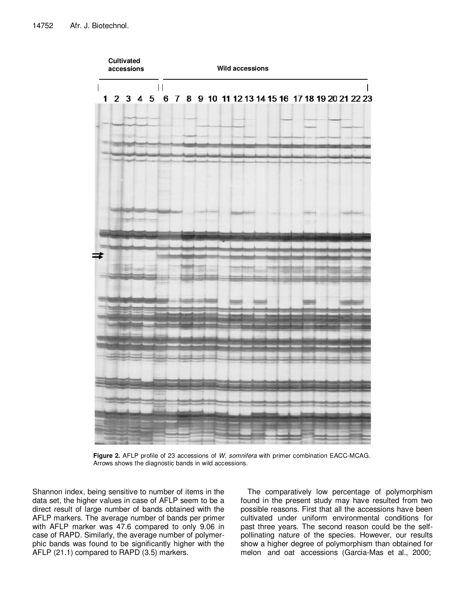

**Figure 2.** AFLP profile of 23 accessions of W. somnifera with primer combination EACC-MCAG. Arrows shows the diagnostic bands in wild accessions.

Shannon index, being sensitive to number of items in the data set, the higher values in case of AFLP seem to be a direct result of large number of bands obtained with the AFLP markers. The average number of bands per primer with AFLP marker was 47.6 compared to only 9.06 in case of RAPD. Similarly, the average number of polymerphic bands was found to be significantly higher with the AFLP (21.1) compared to RAPD (3.5) markers.

The comparatively low percentage of polymorphism found in the present study may have resulted from two possible reasons. First that all the accessions have been cultivated under uniform environmental conditions for past three years. The second reason could be the selfpollinating nature of the species. However, our results show a higher degree of polymorphism than obtained for melon and oat accessions (Garcia-Mas et al., 2000;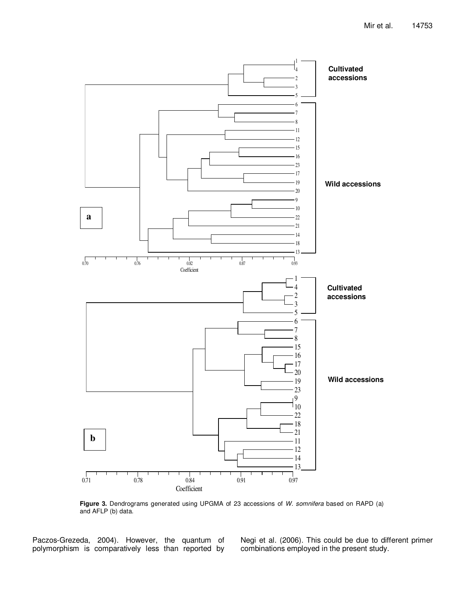

**Figure 3.** Dendrograms generated using UPGMA of 23 accessions of W. somnifera based on RAPD (a) and AFLP (b) data.

Paczos-Grezeda, 2004). However, the quantum of polymorphism is comparatively less than reported by

Negi et al. (2006). This could be due to different primer combinations employed in the present study.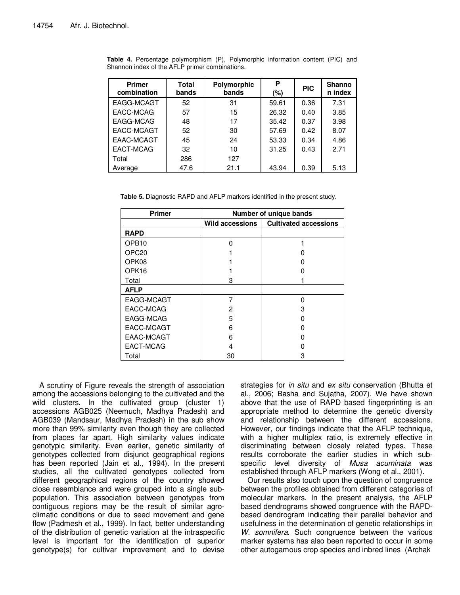| <b>Primer</b><br>combination | Total<br>bands | Polymorphic<br>bands | P<br>(%) | <b>PIC</b> | <b>Shanno</b><br>n index |
|------------------------------|----------------|----------------------|----------|------------|--------------------------|
| EAGG-MCAGT                   | 52             | 31                   | 59.61    | 0.36       | 7.31                     |
| EACC-MCAG                    | 57             | 15                   | 26.32    | 0.40       | 3.85                     |
| EAGG-MCAG                    | 48             | 17                   | 35.42    | 0.37       | 3.98                     |
| EACC-MCAGT                   | 52             | 30                   | 57.69    | 0.42       | 8.07                     |
| EAAC-MCAGT                   | 45             | 24                   | 53.33    | 0.34       | 4.86                     |
| EACT-MCAG                    | 32             | 10                   | 31.25    | 0.43       | 2.71                     |
| Total                        | 286            | 127                  |          |            |                          |
| Average                      | 47.6           | 21.1                 | 43.94    | 0.39       | 5.13                     |

**Table 4.** Percentage polymorphism (P), Polymorphic information content (PIC) and Shannon index of the AFLP primer combinations.

**Table 5.** Diagnostic RAPD and AFLP markers identified in the present study.

| Primer            | Number of unique bands |                              |  |
|-------------------|------------------------|------------------------------|--|
|                   | <b>Wild accessions</b> | <b>Cultivated accessions</b> |  |
| <b>RAPD</b>       |                        |                              |  |
| OPB <sub>10</sub> | U                      |                              |  |
| OPC <sub>20</sub> |                        |                              |  |
| OPK08             |                        |                              |  |
| OPK16             |                        |                              |  |
| Total             | з                      |                              |  |
| <b>AFLP</b>       |                        |                              |  |
| EAGG-MCAGT        |                        | O                            |  |
| EACC-MCAG         | 2                      | З                            |  |
| EAGG-MCAG         | 5                      |                              |  |
| EACC-MCAGT        | 6                      |                              |  |
| EAAC-MCAGT        | 6                      | O                            |  |
| EACT-MCAG         |                        |                              |  |
| Total             | 30                     | з                            |  |

A scrutiny of Figure reveals the strength of association among the accessions belonging to the cultivated and the wild clusters. In the cultivated group (cluster 1) accessions AGB025 (Neemuch, Madhya Pradesh) and AGB039 (Mandsaur, Madhya Pradesh) in the sub show more than 99% similarity even though they are collected from places far apart. High similarity values indicate genotypic similarity. Even earlier, genetic similarity of genotypes collected from disjunct geographical regions has been reported (Jain et al., 1994). In the present studies, all the cultivated genotypes collected from different geographical regions of the country showed close resemblance and were grouped into a single subpopulation. This association between genotypes from contiguous regions may be the result of similar agroclimatic conditions or due to seed movement and gene flow (Padmesh et al., 1999). In fact, better understanding of the distribution of genetic variation at the intraspecific level is important for the identification of superior genotype(s) for cultivar improvement and to devise

strategies for in situ and ex situ conservation (Bhutta et al., 2006; Basha and Sujatha, 2007). We have shown above that the use of RAPD based fingerprinting is an appropriate method to determine the genetic diversity and relationship between the different accessions. However, our findings indicate that the AFLP technique, with a higher multiplex ratio, is extremely effective in discriminating between closely related types. These results corroborate the earlier studies in which subspecific level diversity of Musa acuminata was established through AFLP markers (Wong et al., 2001).

Our results also touch upon the question of congruence between the profiles obtained from different categories of molecular markers. In the present analysis, the AFLP based dendrograms showed congruence with the RAPDbased dendrogram indicating their parallel behavior and usefulness in the determination of genetic relationships in W. somnifera. Such congruence between the various marker systems has also been reported to occur in some other autogamous crop species and inbred lines (Archak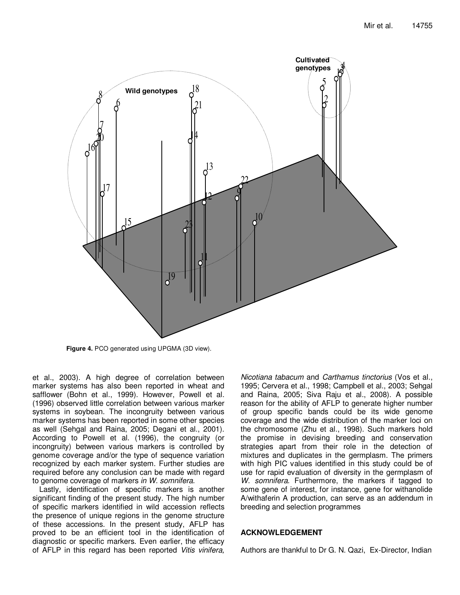

**Figure 4.** PCO generated using UPGMA (3D view).

et al., 2003). A high degree of correlation between marker systems has also been reported in wheat and safflower (Bohn et al., 1999). However, Powell et al. (1996) observed little correlation between various marker systems in soybean. The incongruity between various marker systems has been reported in some other species as well (Sehgal and Raina, 2005; Degani et al., 2001). According to Powell et al. (1996), the congruity (or incongruity) between various markers is controlled by genome coverage and/or the type of sequence variation recognized by each marker system. Further studies are required before any conclusion can be made with regard to genome coverage of markers in W. somnifera.

Lastly, identification of specific markers is another significant finding of the present study. The high number of specific markers identified in wild accession reflects the presence of unique regions in the genome structure of these accessions. In the present study, AFLP has proved to be an efficient tool in the identification of diagnostic or specific markers. Even earlier, the efficacy of AFLP in this regard has been reported Vitis vinifera,

Nicotiana tabacum and Carthamus tinctorius (Vos et al., 1995; Cervera et al., 1998; Campbell et al., 2003; Sehgal and Raina, 2005; Siva Raju et al., 2008). A possible reason for the ability of AFLP to generate higher number of group specific bands could be its wide genome coverage and the wide distribution of the marker loci on the chromosome (Zhu et al., 1998). Such markers hold the promise in devising breeding and conservation strategies apart from their role in the detection of mixtures and duplicates in the germplasm. The primers with high PIC values identified in this study could be of use for rapid evaluation of diversity in the germplasm of W. somnifera. Furthermore, the markers if tagged to some gene of interest, for instance, gene for withanolide A/withaferin A production, can serve as an addendum in breeding and selection programmes

## **ACKNOWLEDGEMENT**

Authors are thankful to Dr G. N. Qazi, Ex-Director, Indian